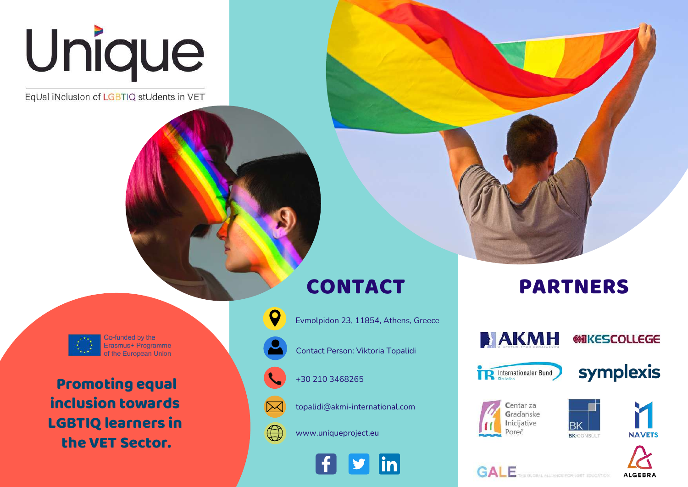

EqUal iNclusion of LGBTIQ stUdents in VET

Co-funded by the Erasmus+ Programme the European Union

Promoting equal inclusion towards LGBTIQ learners in the VET Sector.

## CONTACT



 $\bigoplus$ 

Evmolpidon 23, 11854, Athens, Greece

Contact Person: Viktoria Topalidi

+30 210 3468265

topalidi@akmi-international.com

www.uniqueproject.eu



# PARTNERS



**AKMH** 

symplexis

**@IKESCOLLEGE**